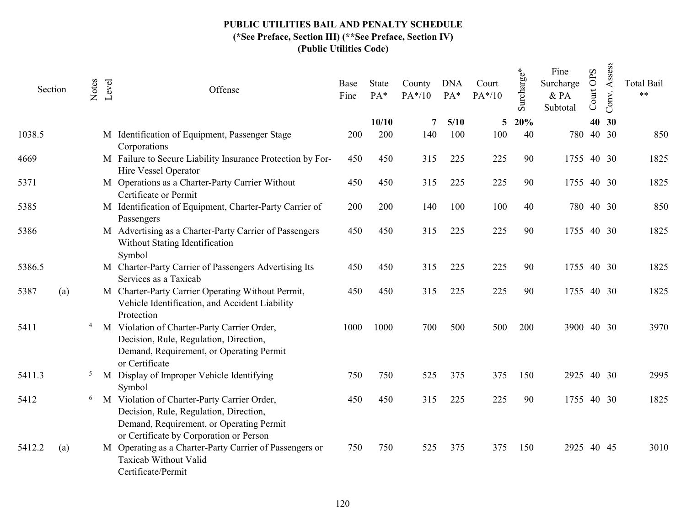## PUBLIC UTILITIES BAIL AND PENALTY SCHEDULE (\*See Preface, Section III) (\*\*See Preface, Section IV) (Public Utilities Code)

|        | Section | Notes          | Level | Offense                                                                                                                                                                      | Base<br>Fine | State<br>PA* | County<br>$PA*/10$ | <b>DNA</b><br>$PA*$ | Court<br>$PA*/10$ | Surcharge | Fine<br>Surcharge<br>& PA<br>Subtotal | Court OPS | Assess<br>Conv. | <b>Total Bail</b><br>$**$ |
|--------|---------|----------------|-------|------------------------------------------------------------------------------------------------------------------------------------------------------------------------------|--------------|--------------|--------------------|---------------------|-------------------|-----------|---------------------------------------|-----------|-----------------|---------------------------|
|        |         |                |       |                                                                                                                                                                              |              | 10/10        | 7                  | 5/10                | $\overline{5}$    | 20%       |                                       | 40 30     |                 |                           |
| 1038.5 |         |                |       | M Identification of Equipment, Passenger Stage<br>Corporations                                                                                                               | 200          | 200          | 140                | 100                 | 100               | 40        | 780                                   | 40 30     |                 | 850                       |
| 4669   |         |                |       | M Failure to Secure Liability Insurance Protection by For-<br>Hire Vessel Operator                                                                                           | 450          | 450          | 315                | 225                 | 225               | 90        | 1755                                  | 40 30     |                 | 1825                      |
| 5371   |         |                |       | M Operations as a Charter-Party Carrier Without<br>Certificate or Permit                                                                                                     | 450          | 450          | 315                | 225                 | 225               | 90        | 1755                                  | 40 30     |                 | 1825                      |
| 5385   |         |                |       | M Identification of Equipment, Charter-Party Carrier of<br>Passengers                                                                                                        | 200          | 200          | 140                | 100                 | 100               | 40        | 780                                   | 40 30     |                 | 850                       |
| 5386   |         |                |       | M Advertising as a Charter-Party Carrier of Passengers<br>Without Stating Identification<br>Symbol                                                                           | 450          | 450          | 315                | 225                 | 225               | 90        | 1755                                  | 40 30     |                 | 1825                      |
| 5386.5 |         |                |       | M Charter-Party Carrier of Passengers Advertising Its<br>Services as a Taxicab                                                                                               | 450          | 450          | 315                | 225                 | 225               | 90        | 1755                                  |           | 40 30           | 1825                      |
| 5387   | (a)     |                |       | M Charter-Party Carrier Operating Without Permit,<br>Vehicle Identification, and Accident Liability<br>Protection                                                            | 450          | 450          | 315                | 225                 | 225               | 90        | 1755                                  | 40 30     |                 | 1825                      |
| 5411   |         | $\overline{4}$ |       | M Violation of Charter-Party Carrier Order,<br>Decision, Rule, Regulation, Direction,<br>Demand, Requirement, or Operating Permit<br>or Certificate                          | 1000         | 1000         | 700                | 500                 | 500               | 200       | 3900                                  |           | 40 30           | 3970                      |
| 5411.3 |         | $\mathfrak{S}$ |       | M Display of Improper Vehicle Identifying<br>Symbol                                                                                                                          | 750          | 750          | 525                | 375                 | 375               | 150       | 2925                                  | 40 30     |                 | 2995                      |
| 5412   |         | 6 <sub>0</sub> |       | M Violation of Charter-Party Carrier Order,<br>Decision, Rule, Regulation, Direction,<br>Demand, Requirement, or Operating Permit<br>or Certificate by Corporation or Person | 450          | 450          | 315                | 225                 | 225               | 90        | 1755                                  | 40 30     |                 | 1825                      |
| 5412.2 | (a)     |                |       | M Operating as a Charter-Party Carrier of Passengers or<br>Taxicab Without Valid<br>Certificate/Permit                                                                       | 750          | 750          | 525                | 375                 | 375               | 150       | 2925                                  | 40 45     |                 | 3010                      |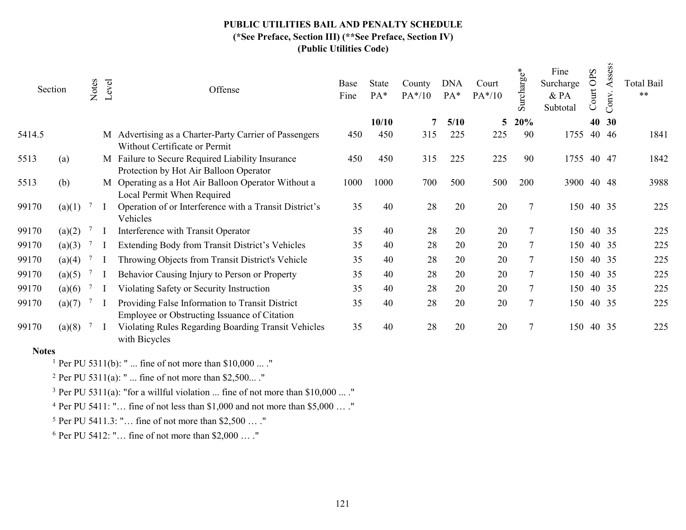## PUBLIC UTILITIES BAIL AND PENALTY SCHEDULE (\*See Preface, Section III) (\*\*See Preface, Section IV) (Public Utilities Code)

|              | Section                 | Notes       | Level          | Offense                                                                                         | Base<br>Fine | <b>State</b><br>PA* | County<br>$PA*/10$ | <b>DNA</b><br>$PA*$ | Court<br>$PA*/10$ | Surcharge*     | Fine<br>Surcharge<br>& PA<br>Subtotal | Court OPS | Assess<br>Conv. | <b>Total Bail</b><br>$**$ |
|--------------|-------------------------|-------------|----------------|-------------------------------------------------------------------------------------------------|--------------|---------------------|--------------------|---------------------|-------------------|----------------|---------------------------------------|-----------|-----------------|---------------------------|
|              |                         |             |                |                                                                                                 |              | 10/10               |                    | 5/10                | 5                 | 20%            |                                       |           | 40 30           |                           |
| 5414.5       |                         |             |                | M Advertising as a Charter-Party Carrier of Passengers<br>Without Certificate or Permit         | 450          | 450                 | 315                | 225                 | 225               | 90             | 1755                                  |           | 40 46           | 1841                      |
| 5513         | (a)                     |             |                | M Failure to Secure Required Liability Insurance<br>Protection by Hot Air Balloon Operator      | 450          | 450                 | 315                | 225                 | 225               | 90             | 1755                                  |           | 40 47           | 1842                      |
| 5513         | (b)                     |             |                | M Operating as a Hot Air Balloon Operator Without a<br>Local Permit When Required               | 1000         | 1000                | 700                | 500                 | 500               | 200            | 3900                                  |           | 40 48           | 3988                      |
| 99170        | (a)(1)                  |             | $\blacksquare$ | Operation of or Interference with a Transit District's<br>Vehicles                              | 35           | 40                  | 28                 | 20                  | 20                | $\overline{7}$ | 150                                   |           | 40 35           | 225                       |
| 99170        | $(a)(2)$ <sup>7</sup>   |             | - 1            | Interference with Transit Operator                                                              | 35           | 40                  | 28                 | 20                  | 20                | $\overline{7}$ | 150                                   |           | 40 35           | 225                       |
| 99170        | $(a)(3)$ <sup>7</sup>   |             |                | Extending Body from Transit District's Vehicles                                                 | 35           | 40                  | 28                 | 20                  | 20                | $\tau$         | 150                                   |           | 40 35           | 225                       |
| 99170        | $(a)(4)$ <sup>7</sup>   |             |                | Throwing Objects from Transit District's Vehicle                                                | 35           | 40                  | 28                 | 20                  | 20                | $\tau$         | 150                                   |           | 40 35           | 225                       |
| 99170        | $(a)(5)$ <sup>7</sup>   |             |                | Behavior Causing Injury to Person or Property                                                   | 35           | 40                  | 28                 | 20                  | 20                | $\tau$         | 150                                   |           | 40 35           | 225                       |
| 99170        | $(a)(6)$ <sup>7</sup>   |             | - I            | Violating Safety or Security Instruction                                                        | 35           | 40                  | 28                 | 20                  | 20                | $\tau$         | 150                                   |           | 40 35           | 225                       |
| 99170        | $(a)(7)$ <sup>7</sup> I |             |                | Providing False Information to Transit District<br>Employee or Obstructing Issuance of Citation | 35           | 40                  | 28                 | 20                  | 20                | $\tau$         | 150                                   |           | 40 35           | 225                       |
| 99170        | (a)(8)                  | $7 \quad I$ |                | Violating Rules Regarding Boarding Transit Vehicles<br>with Bicycles                            | 35           | 40                  | 28                 | 20                  | 20                | $\overline{7}$ | 150                                   |           | 40 35           | 225                       |
| <b>Notes</b> |                         |             |                |                                                                                                 |              |                     |                    |                     |                   |                |                                       |           |                 |                           |
|              |                         |             |                | <sup>1</sup> Per PU 5311(b): "  fine of not more than \$10,000  ."                              |              |                     |                    |                     |                   |                |                                       |           |                 |                           |
|              |                         |             |                | <sup>2</sup> Per PU 5311(a): "  fine of not more than \$2,500 ."                                |              |                     |                    |                     |                   |                |                                       |           |                 |                           |
|              |                         |             |                | <sup>3</sup> Per PU 5311(a): "for a willful violation  fine of not more than \$10,000  ."       |              |                     |                    |                     |                   |                |                                       |           |                 |                           |
|              |                         |             |                | <sup>4</sup> Per PU 5411: " fine of not less than \$1,000 and not more than \$5,000 "           |              |                     |                    |                     |                   |                |                                       |           |                 |                           |
|              |                         |             |                | <sup>5</sup> Per PU 5411.3: " fine of not more than \$2,500  ."                                 |              |                     |                    |                     |                   |                |                                       |           |                 |                           |
|              |                         |             |                | $6$ Per PU 5412: " fine of not more than \$2,000  ."                                            |              |                     |                    |                     |                   |                |                                       |           |                 |                           |